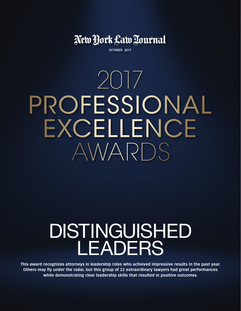New York Law Tournal

OCTOBER 2017

2017 PROFESSIONAL EXCELLENCE AWARDS

# Distinguished **LEADERS**

**This award recognizes attorneys in leadership roles who achieved impressive results in the past year. Others may fly under the radar, but this group of 22 extraordinary lawyers had great performances while demonstrating clear leadership skills that resulted in positive outcomes.**